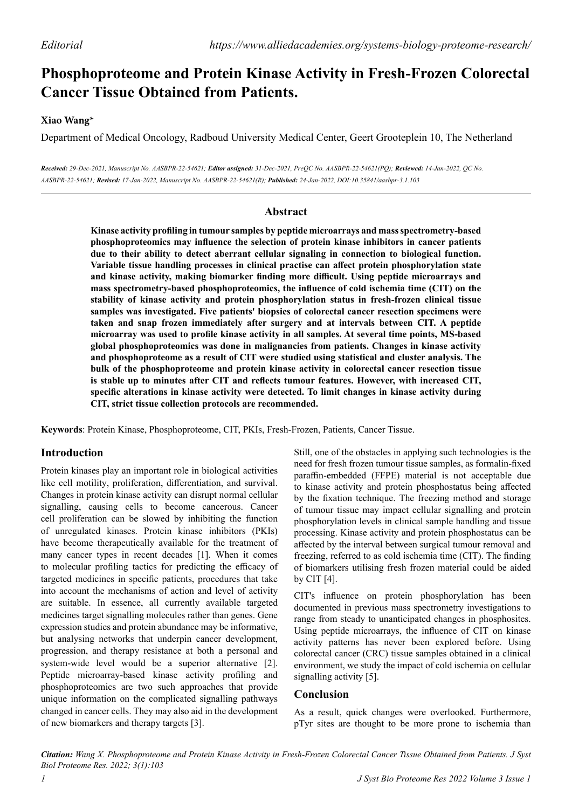# **Phosphoproteome and Protein Kinase Activity in Fresh-Frozen Colorectal Cancer Tissue Obtained from Patients.**

## **Xiao Wang\***

Department of Medical Oncology, Radboud University Medical Center, Geert Grooteplein 10, The Netherland

*Received: 29-Dec-2021, Manuscript No. AASBPR-22-54621; Editor assigned: 31-Dec-2021, PreQC No. AASBPR-22-54621(PQ); Reviewed: 14-Jan-2022, QC No. AASBPR-22-54621; Revised: 17-Jan-2022, Manuscript No. AASBPR-22-54621(R); Published: 24-Jan-2022, DOI:10.35841/aasbpr-3.1.103*

### **Abstract**

**Kinase activity profiling in tumour samples by peptide microarrays and mass spectrometry-based phosphoproteomics may influence the selection of protein kinase inhibitors in cancer patients due to their ability to detect aberrant cellular signaling in connection to biological function. Variable tissue handling processes in clinical practise can affect protein phosphorylation state and kinase activity, making biomarker finding more difficult. Using peptide microarrays and mass spectrometry-based phosphoproteomics, the influence of cold ischemia time (CIT) on the stability of kinase activity and protein phosphorylation status in fresh-frozen clinical tissue samples was investigated. Five patients' biopsies of colorectal cancer resection specimens were taken and snap frozen immediately after surgery and at intervals between CIT. A peptide microarray was used to profile kinase activity in all samples. At several time points, MS-based global phosphoproteomics was done in malignancies from patients. Changes in kinase activity and phosphoproteome as a result of CIT were studied using statistical and cluster analysis. The bulk of the phosphoproteome and protein kinase activity in colorectal cancer resection tissue is stable up to minutes after CIT and reflects tumour features. However, with increased CIT, specific alterations in kinase activity were detected. To limit changes in kinase activity during CIT, strict tissue collection protocols are recommended.**

**Keywords**: Protein Kinase, Phosphoproteome, CIT, PKIs, Fresh-Frozen, Patients, Cancer Tissue.

## **Introduction**

Protein kinases play an important role in biological activities like cell motility, proliferation, differentiation, and survival. Changes in protein kinase activity can disrupt normal cellular signalling, causing cells to become cancerous. Cancer cell proliferation can be slowed by inhibiting the function of unregulated kinases. Protein kinase inhibitors (PKIs) have become therapeutically available for the treatment of many cancer types in recent decades [1]. When it comes to molecular profiling tactics for predicting the efficacy of targeted medicines in specific patients, procedures that take into account the mechanisms of action and level of activity are suitable. In essence, all currently available targeted medicines target signalling molecules rather than genes. Gene expression studies and protein abundance may be informative, but analysing networks that underpin cancer development, progression, and therapy resistance at both a personal and system-wide level would be a superior alternative [2]. Peptide microarray-based kinase activity profiling and phosphoproteomics are two such approaches that provide unique information on the complicated signalling pathways changed in cancer cells. They may also aid in the development of new biomarkers and therapy targets [3].

Still, one of the obstacles in applying such technologies is the need for fresh frozen tumour tissue samples, as formalin-fixed paraffin-embedded (FFPE) material is not acceptable due to kinase activity and protein phosphostatus being affected by the fixation technique. The freezing method and storage of tumour tissue may impact cellular signalling and protein phosphorylation levels in clinical sample handling and tissue processing. Kinase activity and protein phosphostatus can be affected by the interval between surgical tumour removal and freezing, referred to as cold ischemia time (CIT). The finding of biomarkers utilising fresh frozen material could be aided by CIT [4].

CIT's influence on protein phosphorylation has been documented in previous mass spectrometry investigations to range from steady to unanticipated changes in phosphosites. Using peptide microarrays, the influence of CIT on kinase activity patterns has never been explored before. Using colorectal cancer (CRC) tissue samples obtained in a clinical environment, we study the impact of cold ischemia on cellular signalling activity [5].

### **Conclusion**

As a result, quick changes were overlooked. Furthermore, pTyr sites are thought to be more prone to ischemia than

*Citation: Wang X. Phosphoproteome and Protein Kinase Activity in Fresh-Frozen Colorectal Cancer Tissue Obtained from Patients. J Syst Biol Proteome Res. 2022; 3(1):103*